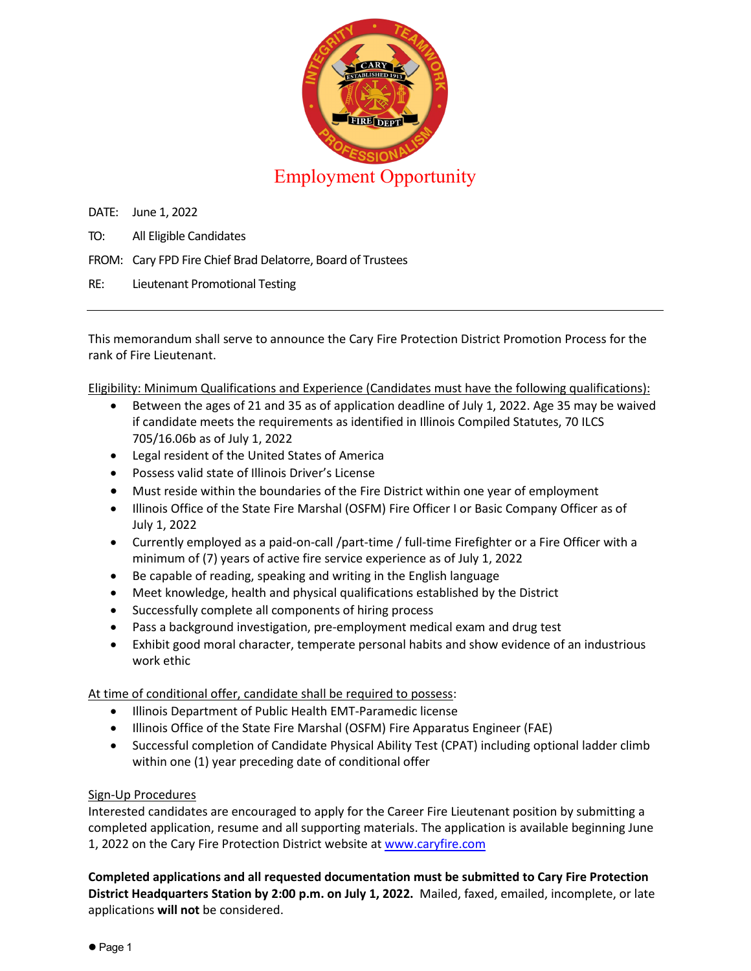

DATE: June 1, 2022

- TO: All Eligible Candidates
- FROM: Cary FPD Fire Chief Brad Delatorre, Board of Trustees
- RE: Lieutenant Promotional Testing

This memorandum shall serve to announce the Cary Fire Protection District Promotion Process for the rank of Fire Lieutenant.

Eligibility: Minimum Qualifications and Experience (Candidates must have the following qualifications):

- Between the ages of 21 and 35 as of application deadline of July 1, 2022. Age 35 may be waived if candidate meets the requirements as identified in Illinois Compiled Statutes, 70 ILCS 705/16.06b as of July 1, 2022
- Legal resident of the United States of America
- Possess valid state of Illinois Driver's License
- Must reside within the boundaries of the Fire District within one year of employment
- Illinois Office of the State Fire Marshal (OSFM) Fire Officer I or Basic Company Officer as of July 1, 2022
- Currently employed as a paid-on-call /part-time / full-time Firefighter or a Fire Officer with a minimum of (7) years of active fire service experience as of July 1, 2022
- Be capable of reading, speaking and writing in the English language
- Meet knowledge, health and physical qualifications established by the District
- Successfully complete all components of hiring process
- Pass a background investigation, pre-employment medical exam and drug test
- Exhibit good moral character, temperate personal habits and show evidence of an industrious work ethic

At time of conditional offer, candidate shall be required to possess:

- Illinois Department of Public Health EMT-Paramedic license
- Illinois Office of the State Fire Marshal (OSFM) Fire Apparatus Engineer (FAE)
- Successful completion of Candidate Physical Ability Test (CPAT) including optional ladder climb within one (1) year preceding date of conditional offer

## Sign-Up Procedures

Interested candidates are encouraged to apply for the Career Fire Lieutenant position by submitting a completed application, resume and all supporting materials. The application is available beginning June 1, 2022 on the Cary Fire Protection District website at [www.caryfire.com](http://www.caryfire.com/)

**Completed applications and all requested documentation must be submitted to Cary Fire Protection District Headquarters Station by 2:00 p.m. on July 1, 2022.** Mailed, faxed, emailed, incomplete, or late applications **will not** be considered.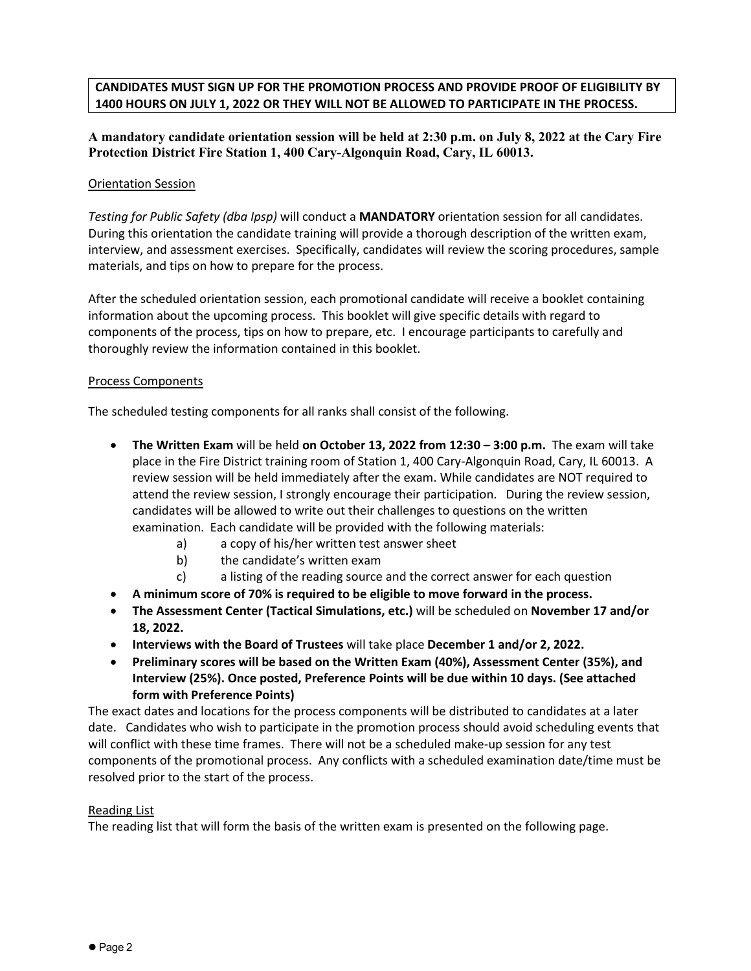## **CANDIDATES MUST SIGN UP FOR THE PROMOTION PROCESS AND PROVIDE PROOF OF ELIGIBILITY BY 1400 HOURS ON JULY 1, 2022 OR THEY WILL NOT BE ALLOWED TO PARTICIPATE IN THE PROCESS.**

**A mandatory candidate orientation session will be held at 2:30 p.m. on July 8, 2022 at the Cary Fire Protection District Fire Station 1, 400 Cary-Algonquin Road, Cary, IL 60013.** 

#### Orientation Session

*Testing for Public Safety (dba Ipsp)* will conduct a **MANDATORY** orientation session for all candidates. During this orientation the candidate training will provide a thorough description of the written exam, interview, and assessment exercises. Specifically, candidates will review the scoring procedures, sample materials, and tips on how to prepare for the process.

After the scheduled orientation session, each promotional candidate will receive a booklet containing information about the upcoming process. This booklet will give specific details with regard to components of the process, tips on how to prepare, etc. I encourage participants to carefully and thoroughly review the information contained in this booklet.

#### Process Components

The scheduled testing components for all ranks shall consist of the following.

- **The Written Exam** will be held **on October 13, 2022 from 12:30 3:00 p.m.** The exam will take place in the Fire District training room of Station 1, 400 Cary-Algonquin Road, Cary, IL 60013. A review session will be held immediately after the exam. While candidates are NOT required to attend the review session, I strongly encourage their participation. During the review session, candidates will be allowed to write out their challenges to questions on the written examination. Each candidate will be provided with the following materials:
	- a) a copy of his/her written test answer sheet
	- b) the candidate's written exam
	- c) a listing of the reading source and the correct answer for each question
- **A minimum score of 70% is required to be eligible to move forward in the process.**
- **The Assessment Center (Tactical Simulations, etc.)** will be scheduled on **November 17 and/or 18, 2022.**
- **Interviews with the Board of Trustees** will take place **December 1 and/or 2, 2022.**
- **Preliminary scores will be based on the Written Exam (40%), Assessment Center (35%), and Interview (25%). Once posted, Preference Points will be due within 10 days. (See attached form with Preference Points)**

The exact dates and locations for the process components will be distributed to candidates at a later date. Candidates who wish to participate in the promotion process should avoid scheduling events that will conflict with these time frames. There will not be a scheduled make-up session for any test components of the promotional process. Any conflicts with a scheduled examination date/time must be resolved prior to the start of the process.

#### Reading List

The reading list that will form the basis of the written exam is presented on the following page.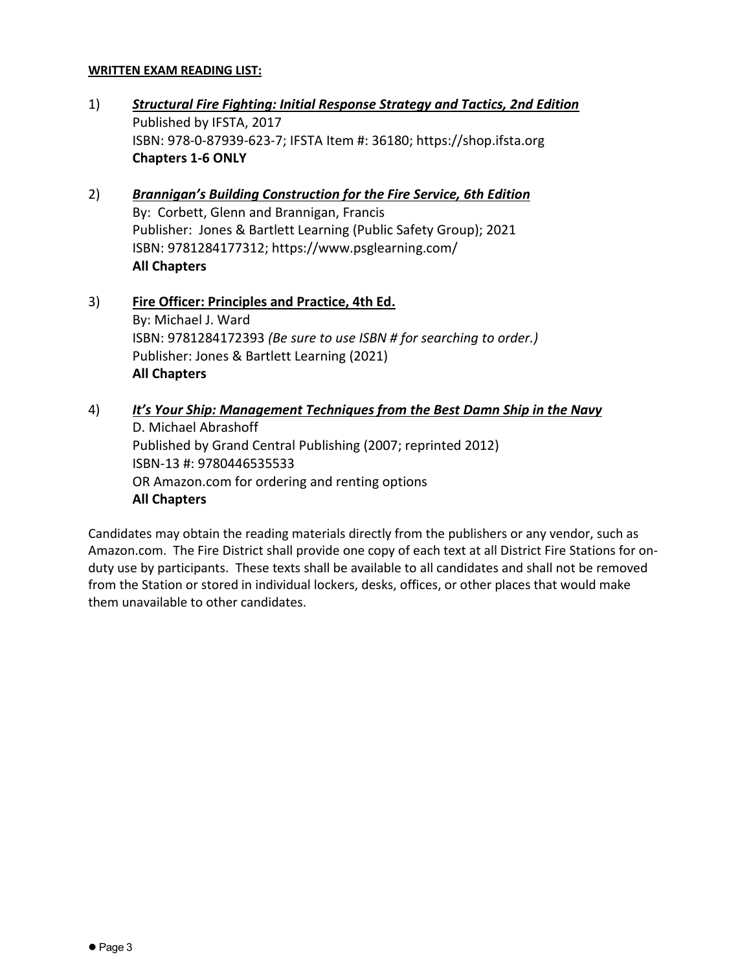## **WRITTEN EXAM READING LIST:**

- 1) *Structural Fire Fighting: Initial Response Strategy and Tactics, 2nd Edition*  Published by IFSTA, 2017 ISBN: 978-0-87939-623-7; IFSTA Item #: 36180; https://shop.ifsta.org **Chapters 1-6 ONLY**
- 2) *Brannigan's Building Construction for the Fire Service, 6th Edition*  By: Corbett, Glenn and Brannigan, Francis Publisher: Jones & Bartlett Learning (Public Safety Group); 2021 ISBN: 9781284177312; https://www.psglearning.com/ **All Chapters**
- 3) **Fire Officer: Principles and Practice, 4th Ed.**  By: Michael J. Ward ISBN: 9781284172393 *(Be sure to use ISBN # for searching to order.)* Publisher: Jones & Bartlett Learning (2021) **All Chapters**
- 4) *It's Your Ship: Management Techniques from the Best Damn Ship in the Navy*  D. Michael Abrashoff Published by Grand Central Publishing (2007; reprinted 2012) ISBN-13 #: 9780446535533 OR Amazon.com for ordering and renting options **All Chapters**

Candidates may obtain the reading materials directly from the publishers or any vendor, such as Amazon.com. The Fire District shall provide one copy of each text at all District Fire Stations for onduty use by participants. These texts shall be available to all candidates and shall not be removed from the Station or stored in individual lockers, desks, offices, or other places that would make them unavailable to other candidates.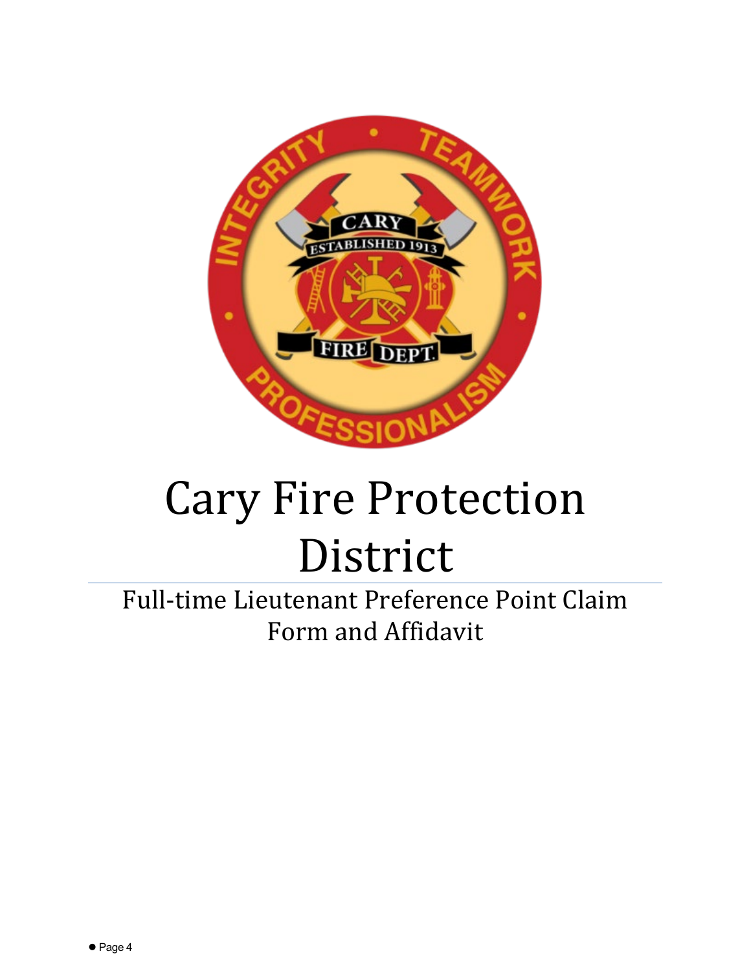

# Cary Fire Protection District

Full-time Lieutenant Preference Point Claim Form and Affidavit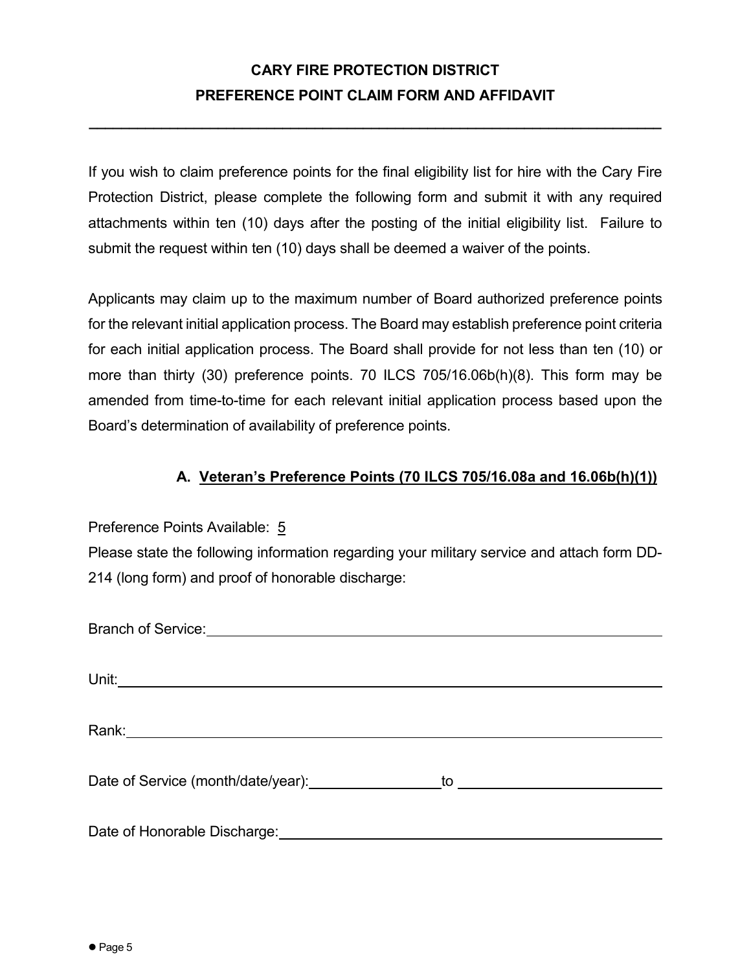**\_\_\_\_\_\_\_\_\_\_\_\_\_\_\_\_\_\_\_\_\_\_\_\_\_\_\_\_\_\_\_\_\_\_\_\_\_\_\_\_\_\_\_\_\_\_\_\_\_\_\_\_\_\_\_\_\_\_\_\_\_\_\_\_\_\_\_\_\_\_\_**

If you wish to claim preference points for the final eligibility list for hire with the Cary Fire Protection District, please complete the following form and submit it with any required attachments within ten (10) days after the posting of the initial eligibility list. Failure to submit the request within ten (10) days shall be deemed a waiver of the points.

Applicants may claim up to the maximum number of Board authorized preference points for the relevant initial application process. The Board may establish preference point criteria for each initial application process. The Board shall provide for not less than ten (10) or more than thirty (30) preference points. 70 ILCS 705/16.06b(h)(8). This form may be amended from time-to-time for each relevant initial application process based upon the Board's determination of availability of preference points.

# **A. Veteran's Preference Points (70 ILCS 705/16.08a and 16.06b(h)(1))**

Preference Points Available: 5

Please state the following information regarding your military service and attach form DD-214 (long form) and proof of honorable discharge:

| Rank: ___________________________________ |  |
|-------------------------------------------|--|
|                                           |  |
| Date of Service (month/date/year):        |  |
|                                           |  |
| Date of Honorable Discharge:              |  |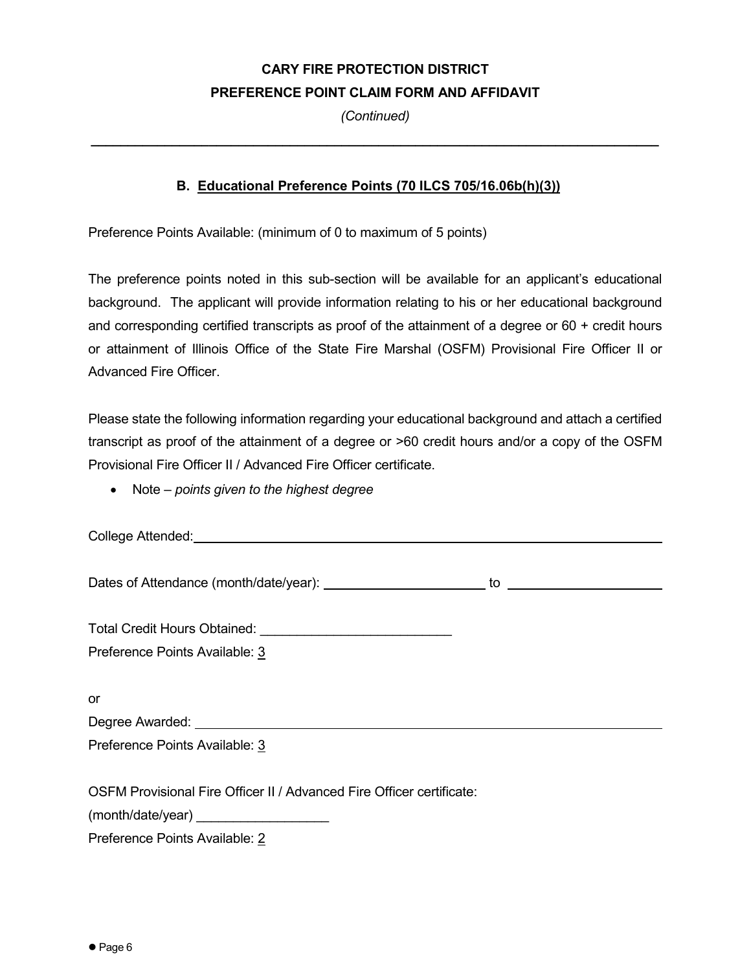*(Continued)*

**\_\_\_\_\_\_\_\_\_\_\_\_\_\_\_\_\_\_\_\_\_\_\_\_\_\_\_\_\_\_\_\_\_\_\_\_\_\_\_\_\_\_\_\_\_\_\_\_\_\_\_\_\_\_\_\_\_\_\_\_\_\_\_\_\_\_\_\_\_\_\_\_\_\_\_\_\_**

## **B. Educational Preference Points (70 ILCS 705/16.06b(h)(3))**

Preference Points Available: (minimum of 0 to maximum of 5 points)

The preference points noted in this sub-section will be available for an applicant's educational background. The applicant will provide information relating to his or her educational background and corresponding certified transcripts as proof of the attainment of a degree or 60 + credit hours or attainment of Illinois Office of the State Fire Marshal (OSFM) Provisional Fire Officer II or Advanced Fire Officer.

Please state the following information regarding your educational background and attach a certified transcript as proof of the attainment of a degree or >60 credit hours and/or a copy of the OSFM Provisional Fire Officer II / Advanced Fire Officer certificate.

• Note – *points given to the highest degree*

College Attended:

Dates of Attendance (month/date/year): to

Total Credit Hours Obtained:

Preference Points Available: 3

or

Degree Awarded: University **Degree** 

Preference Points Available: 3

OSFM Provisional Fire Officer II / Advanced Fire Officer certificate:

(month/date/year) \_\_\_\_\_

Preference Points Available: 2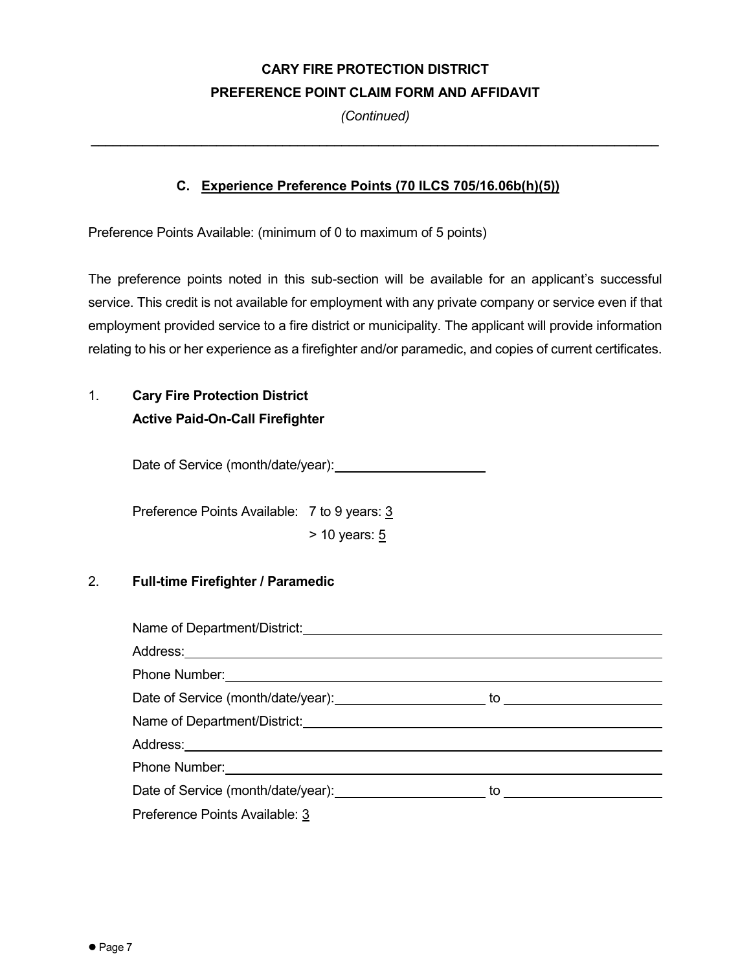*(Continued)*

**\_\_\_\_\_\_\_\_\_\_\_\_\_\_\_\_\_\_\_\_\_\_\_\_\_\_\_\_\_\_\_\_\_\_\_\_\_\_\_\_\_\_\_\_\_\_\_\_\_\_\_\_\_\_\_\_\_\_\_\_\_\_\_\_\_\_\_\_\_\_\_\_\_\_\_\_\_**

## **C. Experience Preference Points (70 ILCS 705/16.06b(h)(5))**

Preference Points Available: (minimum of 0 to maximum of 5 points)

The preference points noted in this sub-section will be available for an applicant's successful service. This credit is not available for employment with any private company or service even if that employment provided service to a fire district or municipality. The applicant will provide information relating to his or her experience as a firefighter and/or paramedic, and copies of current certificates.

# 1. **Cary Fire Protection District Active Paid-On-Call Firefighter**

Date of Service (month/date/year):

Preference Points Available: 7 to 9 years: 3  $> 10$  years:  $5$ 

## 2. **Full-time Firefighter / Paramedic**

| Phone Number: <u>______________________________</u>                                                                                                                                                                                  |  |  |
|--------------------------------------------------------------------------------------------------------------------------------------------------------------------------------------------------------------------------------------|--|--|
|                                                                                                                                                                                                                                      |  |  |
| Name of Department/District: Manual Community of Department/District:                                                                                                                                                                |  |  |
| Address: Andreas Address: Address: Address: Address: Address: Address: Address: Address: Address: A                                                                                                                                  |  |  |
| Phone Number: <u>contract and the set of the set of the set of the set of the set of the set of the set of the set of the set of the set of the set of the set of the set of the set of the set of the set of the set of the set</u> |  |  |
| Date of Service (month/date/year): to substitute to the service of Service of Service of Service of Service of Service of Service of Service of Service of Service of Service of Service of Service of Service of Service of S       |  |  |
| Preference Points Available: 3                                                                                                                                                                                                       |  |  |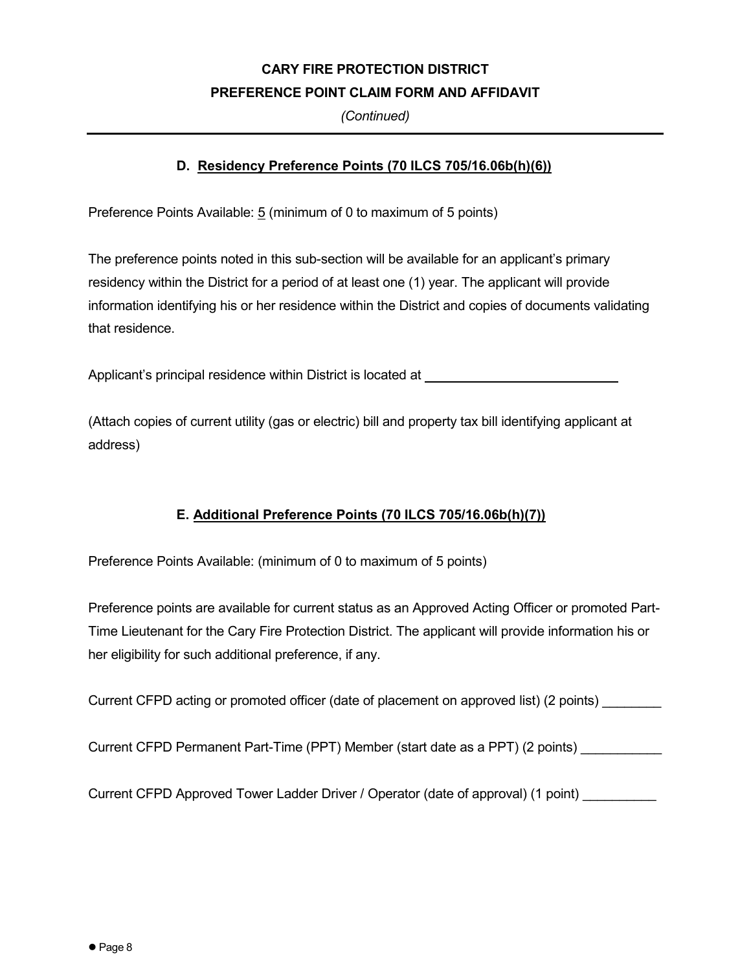*(Continued)*

# **D. Residency Preference Points (70 ILCS 705/16.06b(h)(6))**

Preference Points Available: 5 (minimum of 0 to maximum of 5 points)

The preference points noted in this sub-section will be available for an applicant's primary residency within the District for a period of at least one (1) year. The applicant will provide information identifying his or her residence within the District and copies of documents validating that residence.

Applicant's principal residence within District is located at

(Attach copies of current utility (gas or electric) bill and property tax bill identifying applicant at address)

# **E. Additional Preference Points (70 ILCS 705/16.06b(h)(7))**

Preference Points Available: (minimum of 0 to maximum of 5 points)

Preference points are available for current status as an Approved Acting Officer or promoted Part-Time Lieutenant for the Cary Fire Protection District. The applicant will provide information his or her eligibility for such additional preference, if any.

Current CFPD acting or promoted officer (date of placement on approved list) (2 points)

Current CFPD Permanent Part-Time (PPT) Member (start date as a PPT) (2 points)

Current CFPD Approved Tower Ladder Driver / Operator (date of approval) (1 point)